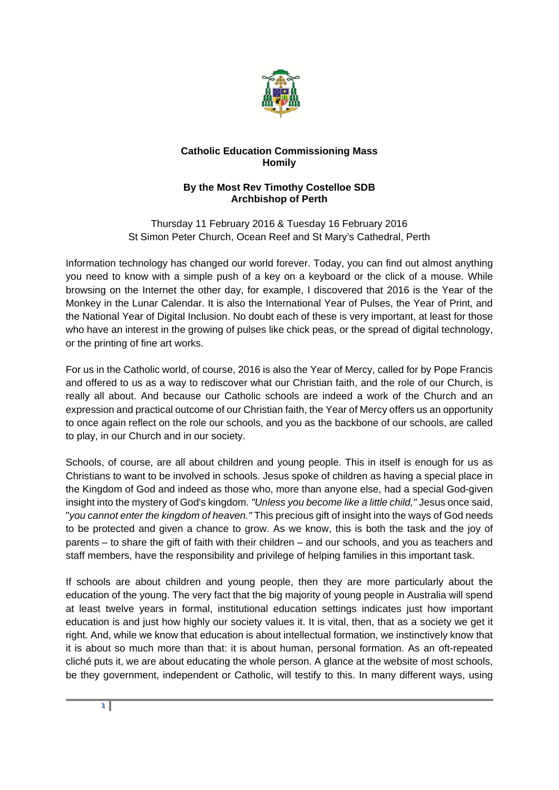

## **Catholic Education Commissioning Mass Homily**

## **By the Most Rev Timothy Costelloe SDB Archbishop of Perth**

Thursday 11 February 2016 & Tuesday 16 February 2016 St Simon Peter Church, Ocean Reef and St Mary's Cathedral, Perth

Information technology has changed our world forever. Today, you can find out almost anything you need to know with a simple push of a key on a keyboard or the click of a mouse. While browsing on the Internet the other day, for example, I discovered that 2016 is the Year of the Monkey in the Lunar Calendar. It is also the International Year of Pulses, the Year of Print, and the National Year of Digital Inclusion. No doubt each of these is very important, at least for those who have an interest in the growing of pulses like chick peas, or the spread of digital technology, or the printing of fine art works.

For us in the Catholic world, of course, 2016 is also the Year of Mercy, called for by Pope Francis and offered to us as a way to rediscover what our Christian faith, and the role of our Church, is really all about. And because our Catholic schools are indeed a work of the Church and an expression and practical outcome of our Christian faith, the Year of Mercy offers us an opportunity to once again reflect on the role our schools, and you as the backbone of our schools, are called to play, in our Church and in our society.

Schools, of course, are all about children and young people. This in itself is enough for us as Christians to want to be involved in schools. Jesus spoke of children as having a special place in the Kingdom of God and indeed as those who, more than anyone else, had a special God-given insight into the mystery of God's kingdom. *"Unless you become like a little child,"* Jesus once said, "*you cannot enter the kingdom of heaven."* This precious gift of insight into the ways of God needs to be protected and given a chance to grow. As we know, this is both the task and the joy of parents – to share the gift of faith with their children – and our schools, and you as teachers and staff members, have the responsibility and privilege of helping families in this important task.

If schools are about children and young people, then they are more particularly about the education of the young. The very fact that the big majority of young people in Australia will spend at least twelve years in formal, institutional education settings indicates just how important education is and just how highly our society values it. It is vital, then, that as a society we get it right. And, while we know that education is about intellectual formation, we instinctively know that it is about so much more than that: it is about human, personal formation. As an oft-repeated cliché puts it, we are about educating the whole person. A glance at the website of most schools, be they government, independent or Catholic, will testify to this. In many different ways, using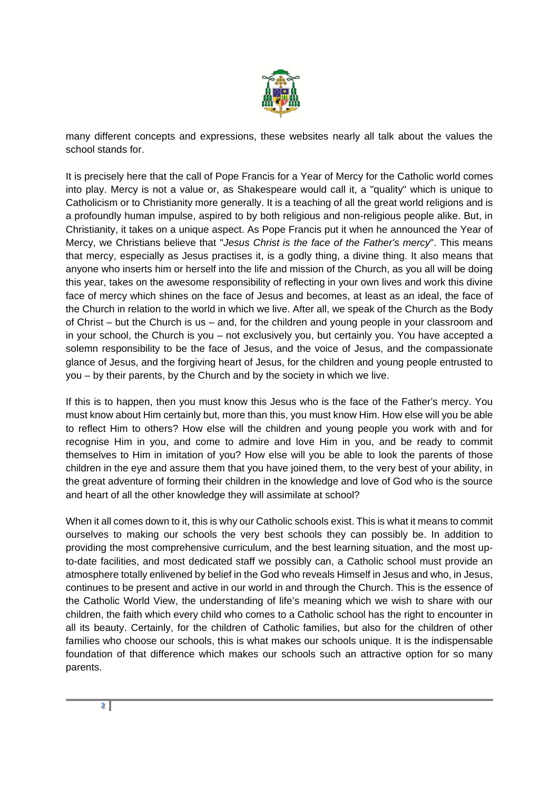

many different concepts and expressions, these websites nearly all talk about the values the school stands for.

It is precisely here that the call of Pope Francis for a Year of Mercy for the Catholic world comes into play. Mercy is not a value or, as Shakespeare would call it, a "quality" which is unique to Catholicism or to Christianity more generally. It is a teaching of all the great world religions and is a profoundly human impulse, aspired to by both religious and non-religious people alike. But, in Christianity, it takes on a unique aspect. As Pope Francis put it when he announced the Year of Mercy, we Christians believe that "*Jesus Christ is the face of the Father's mercy*". This means that mercy, especially as Jesus practises it, is a godly thing, a divine thing. It also means that anyone who inserts him or herself into the life and mission of the Church, as you all will be doing this year, takes on the awesome responsibility of reflecting in your own lives and work this divine face of mercy which shines on the face of Jesus and becomes, at least as an ideal, the face of the Church in relation to the world in which we live. After all, we speak of the Church as the Body of Christ – but the Church is us – and, for the children and young people in your classroom and in your school, the Church is you – not exclusively you, but certainly you. You have accepted a solemn responsibility to be the face of Jesus, and the voice of Jesus, and the compassionate glance of Jesus, and the forgiving heart of Jesus, for the children and young people entrusted to you – by their parents, by the Church and by the society in which we live.

If this is to happen, then you must know this Jesus who is the face of the Father's mercy. You must know about Him certainly but, more than this, you must know Him. How else will you be able to reflect Him to others? How else will the children and young people you work with and for recognise Him in you, and come to admire and love Him in you, and be ready to commit themselves to Him in imitation of you? How else will you be able to look the parents of those children in the eye and assure them that you have joined them, to the very best of your ability, in the great adventure of forming their children in the knowledge and love of God who is the source and heart of all the other knowledge they will assimilate at school?

When it all comes down to it, this is why our Catholic schools exist. This is what it means to commit ourselves to making our schools the very best schools they can possibly be. In addition to providing the most comprehensive curriculum, and the best learning situation, and the most upto-date facilities, and most dedicated staff we possibly can, a Catholic school must provide an atmosphere totally enlivened by belief in the God who reveals Himself in Jesus and who, in Jesus, continues to be present and active in our world in and through the Church. This is the essence of the Catholic World View, the understanding of life's meaning which we wish to share with our children, the faith which every child who comes to a Catholic school has the right to encounter in all its beauty. Certainly, for the children of Catholic families, but also for the children of other families who choose our schools, this is what makes our schools unique. It is the indispensable foundation of that difference which makes our schools such an attractive option for so many parents.